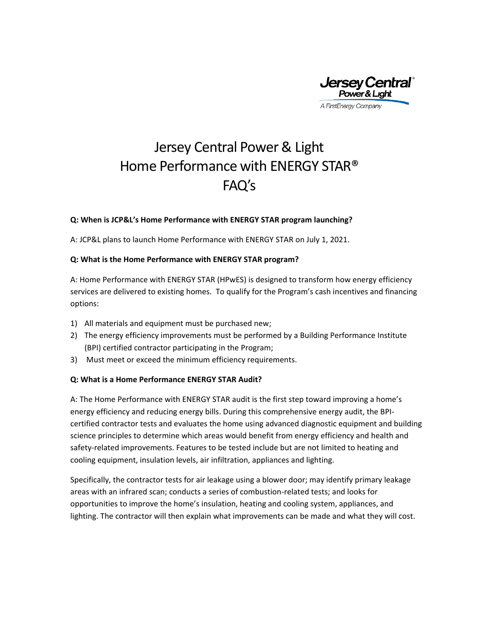

# Jersey Central Power & Light Home Performance with ENERGY STAR® FAQ's

### **Q: When is JCP&L's Home Performance with ENERGY STAR program launching?**

A: JCP&L plans to launch Home Performance with ENERGY STAR on July 1, 2021.

### **Q: What is the Home Performance with ENERGY STAR program?**

A: Home Performance with ENERGY STAR (HPwES) is designed to transform how energy efficiency services are delivered to existing homes. To qualify for the Program's cash incentives and financing options:

- 1) All materials and equipment must be purchased new;
- 2) The energy efficiency improvements must be performed by a Building Performance Institute (BPI) certified contractor participating in the Program;
- 3) Must meet or exceed the minimum efficiency requirements.

#### **Q: What is a Home Performance ENERGY STAR Audit?**

A: The Home Performance with ENERGY STAR audit is the first step toward improving a home's energy efficiency and reducing energy bills. During this comprehensive energy audit, the BPIcertified contractor tests and evaluates the home using advanced diagnostic equipment and building science principles to determine which areas would benefit from energy efficiency and health and safety-related improvements. Features to be tested include but are not limited to heating and cooling equipment, insulation levels, air infiltration, appliances and lighting.

Specifically, the contractor tests for air leakage using a blower door; may identify primary leakage areas with an infrared scan; conducts a series of combustion-related tests; and looks for opportunities to improve the home's insulation, heating and cooling system, appliances, and lighting. The contractor will then explain what improvements can be made and what they will cost.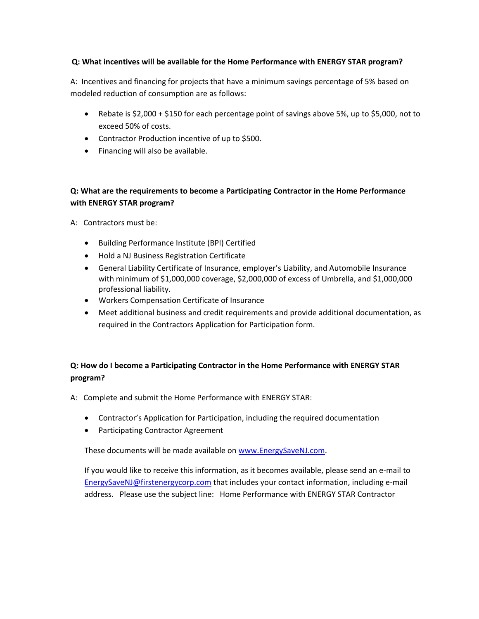## **Q: What incentives will be available for the Home Performance with ENERGY STAR program?**

A: Incentives and financing for projects that have a minimum savings percentage of 5% based on modeled reduction of consumption are as follows:

- Rebate is \$2,000 + \$150 for each percentage point of savings above 5%, up to \$5,000, not to exceed 50% of costs.
- Contractor Production incentive of up to \$500.
- Financing will also be available.

# **Q: What are the requirements to become a Participating Contractor in the Home Performance with ENERGY STAR program?**

A: Contractors must be:

- Building Performance Institute (BPI) Certified
- Hold a NJ Business Registration Certificate
- General Liability Certificate of Insurance, employer's Liability, and Automobile Insurance with minimum of \$1,000,000 coverage, \$2,000,000 of excess of Umbrella, and \$1,000,000 professional liability.
- Workers Compensation Certificate of Insurance
- Meet additional business and credit requirements and provide additional documentation, as required in the Contractors Application for Participation form.

# **Q: How do I become a Participating Contractor in the Home Performance with ENERGY STAR program?**

A: Complete and submit the Home Performance with ENERGY STAR:

- Contractor's Application for Participation, including the required documentation
- Participating Contractor Agreement

These documents will be made available on [www.EnergySaveNJ.com.](http://www.energysavenj.com/)

If you would like to receive this information, as it becomes available, please send an e-mail to [EnergySaveNJ@firstenergycorp.com](mailto:EnergySaveNJ@firstenergycorp.com) that includes your contact information, including e-mail address. Please use the subject line: Home Performance with ENERGY STAR Contractor